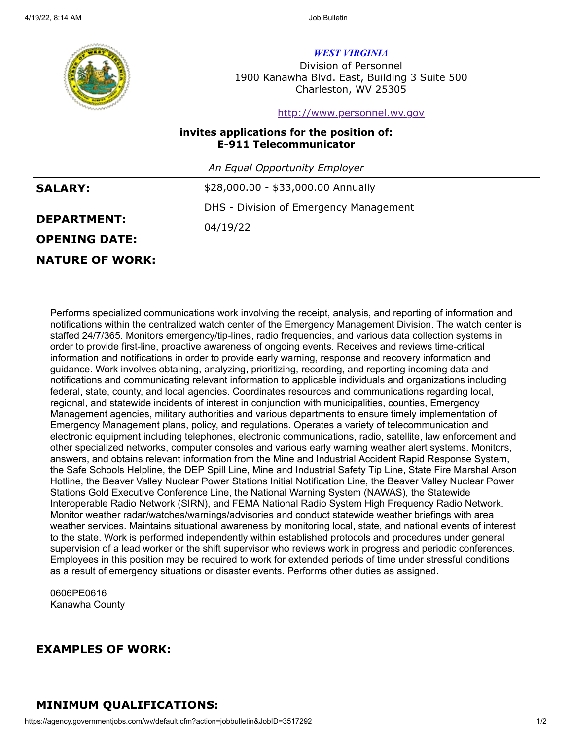

*WEST VIRGINIA*

Division of Personnel 1900 Kanawha Blvd. East, Building 3 Suite 500 Charleston, WV 25305

[http://www.personnel.wv.gov](http://www.personnel.wv.gov/)

#### **invites applications for the position of: E-911 Telecommunicator**

*An Equal Opportunity Employer*

| <b>SALARY:</b> |  |
|----------------|--|
|----------------|--|

\$28,000.00 - \$33,000.00 Annually DHS - Division of Emergency Management 04/19/22

# **OPENING DATE:**

**NATURE OF WORK:**

**DEPARTMENT:**

#### Performs specialized communications work involving the receipt, analysis, and reporting of information and notifications within the centralized watch center of the Emergency Management Division. The watch center is staffed 24/7/365. Monitors emergency/tip-lines, radio frequencies, and various data collection systems in order to provide first-line, proactive awareness of ongoing events. Receives and reviews time-critical information and notifications in order to provide early warning, response and recovery information and guidance. Work involves obtaining, analyzing, prioritizing, recording, and reporting incoming data and notifications and communicating relevant information to applicable individuals and organizations including federal, state, county, and local agencies. Coordinates resources and communications regarding local, regional, and statewide incidents of interest in conjunction with municipalities, counties, Emergency Management agencies, military authorities and various departments to ensure timely implementation of Emergency Management plans, policy, and regulations. Operates a variety of telecommunication and electronic equipment including telephones, electronic communications, radio, satellite, law enforcement and other specialized networks, computer consoles and various early warning weather alert systems. Monitors, answers, and obtains relevant information from the Mine and Industrial Accident Rapid Response System, the Safe Schools Helpline, the DEP Spill Line, Mine and Industrial Safety Tip Line, State Fire Marshal Arson Hotline, the Beaver Valley Nuclear Power Stations Initial Notification Line, the Beaver Valley Nuclear Power Stations Gold Executive Conference Line, the National Warning System (NAWAS), the Statewide Interoperable Radio Network (SIRN), and FEMA National Radio System High Frequency Radio Network. Monitor weather radar/watches/warnings/advisories and conduct statewide weather briefings with area weather services. Maintains situational awareness by monitoring local, state, and national events of interest to the state. Work is performed independently within established protocols and procedures under general supervision of a lead worker or the shift supervisor who reviews work in progress and periodic conferences. Employees in this position may be required to work for extended periods of time under stressful conditions as a result of emergency situations or disaster events. Performs other duties as assigned.

0606PE0616 Kanawha County

# **EXAMPLES OF WORK:**

# **MINIMUM QUALIFICATIONS:**